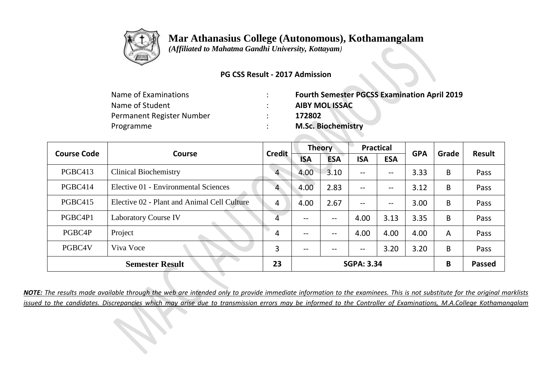

 *(Affiliated to Mahatma Gandhi University, Kottayam)*

#### **PG CSS Result - 2017 Admission**

| <b>Fourth Semester PGCSS Examination April 2019</b> |
|-----------------------------------------------------|
| <b>AIBY MOL ISSAC</b>                               |
| 172802                                              |
| <b>M.Sc. Biochemistry</b>                           |
|                                                     |

|         | <b>Course Code</b><br>Course                |                |                          | <b>Theory</b> |                          | <b>Practical</b> | <b>GPA</b> | Grade          | <b>Result</b> |
|---------|---------------------------------------------|----------------|--------------------------|---------------|--------------------------|------------------|------------|----------------|---------------|
|         |                                             | <b>Credit</b>  | <b>ISA</b>               | <b>ESA</b>    | <b>ISA</b>               | <b>ESA</b>       |            |                |               |
| PGBC413 | <b>Clinical Biochemistry</b>                | $\overline{4}$ | 4.00                     | 3.10          | $--$                     | --               | 3.33       | B              | Pass          |
| PGBC414 | Elective 01 - Environmental Sciences        | 4              | 4.00                     | 2.83          | $--$                     | --               | 3.12       | B              | Pass          |
| PGBC415 | Elective 02 - Plant and Animal Cell Culture | 4              | 4.00                     | 2.67          | $--$                     | --               | 3.00       | B              | Pass          |
| PGBC4P1 | <b>Laboratory Course IV</b>                 | 4              | $- -$                    | $-$           | 4.00                     | 3.13             | 3.35       | B              | Pass          |
| PGBC4P  | Project                                     | 4              | $\overline{\phantom{m}}$ | --            | 4.00                     | 4.00             | 4.00       | $\overline{A}$ | Pass          |
| PGBC4V  | Viva Voce                                   | 3              | $\overline{\phantom{a}}$ | --            | $\hspace{0.05cm} \ldots$ | 3.20             | 3.20       | B              | Pass          |
|         | <b>Semester Result</b>                      | 23             |                          |               | <b>SGPA: 3.34</b>        |                  |            | B              | <b>Passed</b> |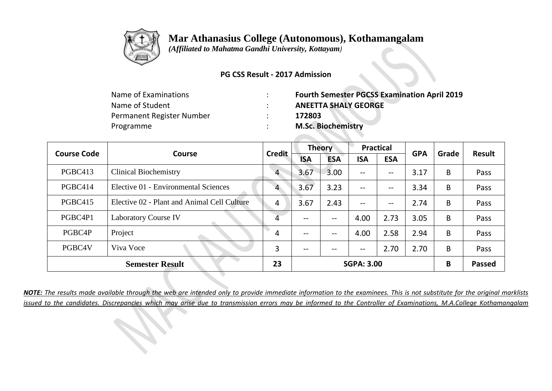

 *(Affiliated to Mahatma Gandhi University, Kottayam)*

#### **PG CSS Result - 2017 Admission**

| Name of Examinations      | <b>Fourth Semester PGCSS Examination April 2019</b> |
|---------------------------|-----------------------------------------------------|
| Name of Student           | <b>ANEETTA SHALY GEORGE</b>                         |
| Permanent Register Number | 172803                                              |
| Programme                 | <b>M.Sc. Biochemistry</b>                           |

| <b>Course Code</b> | Course                                      | <b>Credit</b>  |                   | <b>Theory</b>     |                   | <b>Practical</b>  | <b>GPA</b> | Grade | <b>Result</b> |
|--------------------|---------------------------------------------|----------------|-------------------|-------------------|-------------------|-------------------|------------|-------|---------------|
|                    |                                             |                | <b>ISA</b>        | <b>ESA</b>        | <b>ISA</b>        | <b>ESA</b>        |            |       |               |
| PGBC413            | <b>Clinical Biochemistry</b>                | $\overline{4}$ | 3.67              | 3.00              | $\qquad \qquad -$ | $\qquad \qquad -$ | 3.17       | B     | Pass          |
| PGBC414            | Elective 01 - Environmental Sciences        | 4              | 3.67              | 3.23              | $\qquad \qquad -$ | --                | 3.34       | B     | Pass          |
| <b>PGBC415</b>     | Elective 02 - Plant and Animal Cell Culture | 4              | 3.67              | 2.43              | $\qquad \qquad -$ | $-\!$ $-$         | 2.74       | B     | Pass          |
| PGBC4P1            | <b>Laboratory Course IV</b>                 | 4              | $\qquad \qquad -$ | $\qquad \qquad -$ | 4.00              | 2.73              | 3.05       | B     | Pass          |
| PGBC4P             | Project                                     | 4              | $- -$             | $\qquad \qquad -$ | 4.00              | 2.58              | 2.94       | B     | Pass          |
| PGBC4V             | Viva Voce                                   | 3              | $\qquad \qquad -$ | $- -$             | $- -$             | 2.70              | 2.70       | B     | Pass          |
|                    | <b>Semester Result</b>                      | 23             |                   |                   | <b>SGPA: 3.00</b> |                   |            | B     | <b>Passed</b> |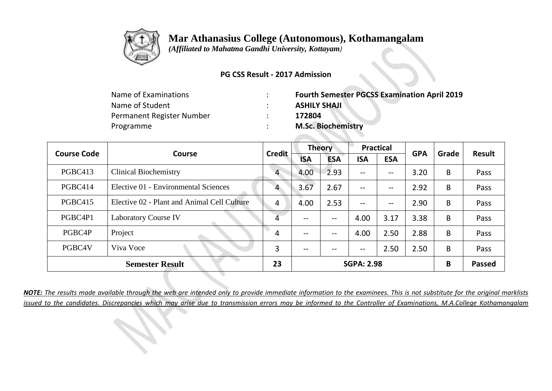

 *(Affiliated to Mahatma Gandhi University, Kottayam)*

#### **PG CSS Result - 2017 Admission**

| Name of Examinations      | <b>Fourth Semester PGCSS Examination April 2019</b> |
|---------------------------|-----------------------------------------------------|
| Name of Student           | <b>ASHILY SHAJI</b>                                 |
| Permanent Register Number | 172804                                              |
| Programme                 | <b>M.Sc. Biochemistry</b>                           |

| <b>Course Code</b> | <b>Course</b>                               | <b>Credit</b>  |                   | <b>Theory</b> | <b>Practical</b>         |            | <b>GPA</b> | Grade | <b>Result</b> |
|--------------------|---------------------------------------------|----------------|-------------------|---------------|--------------------------|------------|------------|-------|---------------|
|                    |                                             |                | <b>ISA</b>        | <b>ESA</b>    | <b>ISA</b>               | <b>ESA</b> |            |       |               |
| PGBC413            | <b>Clinical Biochemistry</b>                | $\overline{4}$ | 4.00              | 2.93          | $\qquad \qquad -$        | --         | 3.20       | B     | Pass          |
| PGBC414            | Elective 01 - Environmental Sciences        | 4              | 3.67              | 2.67          | $\qquad \qquad -$        | --         | 2.92       | B     | Pass          |
| PGBC415            | Elective 02 - Plant and Animal Cell Culture | 4              | 4.00              | 2.53          | $\overline{\phantom{m}}$ | --         | 2.90       | B     | Pass          |
| PGBC4P1            | <b>Laboratory Course IV</b>                 | 4              | --                | --            | 4.00                     | 3.17       | 3.38       | B     | Pass          |
| PGBC4P             | Project                                     | 4              | $\qquad \qquad -$ | $- -$         | 4.00                     | 2.50       | 2.88       | B     | Pass          |
| PGBC4V             | Viva Voce                                   | 3              | $- -$             | $- -$         | $\overline{\phantom{m}}$ | 2.50       | 2.50       | B     | Pass          |
|                    | <b>Semester Result</b>                      | 23             |                   |               | <b>SGPA: 2.98</b>        |            |            | B     | <b>Passed</b> |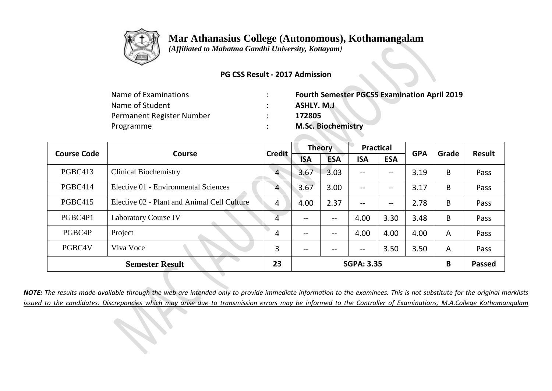

 *(Affiliated to Mahatma Gandhi University, Kottayam)*

#### **PG CSS Result - 2017 Admission**

| Name of Examinations      | <b>Fourth Semester PGCSS Examination April 2019</b> |
|---------------------------|-----------------------------------------------------|
| Name of Student           | ASHLY. M.J                                          |
| Permanent Register Number | 172805                                              |
| Programme                 | <b>M.Sc. Biochemistry</b>                           |

|         | <b>Course Code</b><br><b>Course</b>         | <b>Credit</b>  |                   | <b>Theory</b> |                          | <b>Practical</b> | <b>GPA</b> | Grade          | <b>Result</b> |
|---------|---------------------------------------------|----------------|-------------------|---------------|--------------------------|------------------|------------|----------------|---------------|
|         |                                             |                | <b>ISA</b>        | <b>ESA</b>    | <b>ISA</b>               | <b>ESA</b>       |            |                |               |
| PGBC413 | <b>Clinical Biochemistry</b>                | $\overline{4}$ | 3.67              | 3.03          | $\overline{\phantom{m}}$ | --               | 3.19       | B              | Pass          |
| PGBC414 | Elective 01 - Environmental Sciences        | 4              | 3.67              | 3.00          | $\qquad \qquad -$        | --               | 3.17       | B              | Pass          |
| PGBC415 | Elective 02 - Plant and Animal Cell Culture | 4              | 4.00              | 2.37          | $--$                     | --               | 2.78       | B              | Pass          |
| PGBC4P1 | <b>Laboratory Course IV</b>                 | 4              | $\qquad \qquad -$ | $- -$         | 4.00                     | 3.30             | 3.48       | B              | Pass          |
| PGBC4P  | Project                                     | 4              | $\qquad \qquad -$ | $- -$         | 4.00                     | 4.00             | 4.00       | A              | Pass          |
| PGBC4V  | Viva Voce                                   | 3              | $- -$             | --            | $\overline{\phantom{m}}$ | 3.50             | 3.50       | $\overline{A}$ | Pass          |
|         | <b>Semester Result</b>                      | 23             |                   |               | <b>SGPA: 3.35</b>        |                  |            | B              | <b>Passed</b> |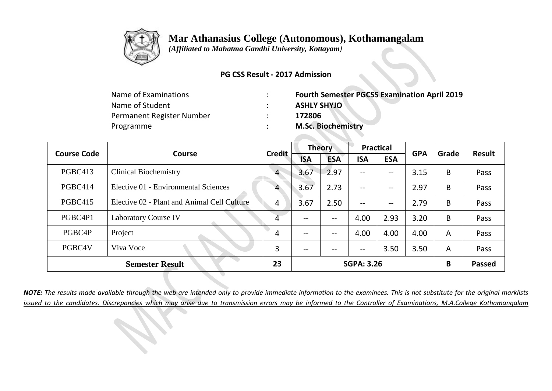

 *(Affiliated to Mahatma Gandhi University, Kottayam)*

#### **PG CSS Result - 2017 Admission**

| Name of Examinations      | <b>Fourth Semester PGCSS Examination April 2019</b> |
|---------------------------|-----------------------------------------------------|
| Name of Student           | <b>ASHLY SHYJO</b>                                  |
| Permanent Register Number | 172806                                              |
| Programme                 | <b>M.Sc. Biochemistry</b>                           |

|         | <b>Course Code</b><br>Course                |                |            | <b>Theory</b> |                          | <b>Practical</b>  | <b>GPA</b> | Grade | <b>Result</b> |
|---------|---------------------------------------------|----------------|------------|---------------|--------------------------|-------------------|------------|-------|---------------|
|         |                                             | <b>Credit</b>  | <b>ISA</b> | <b>ESA</b>    | <b>ISA</b>               | <b>ESA</b>        |            |       |               |
| PGBC413 | <b>Clinical Biochemistry</b>                | $\overline{4}$ | 3.67       | 2.97          | $\qquad \qquad -$        | $\qquad \qquad -$ | 3.15       | B     | Pass          |
| PGBC414 | Elective 01 - Environmental Sciences        | 4              | 3.67       | 2.73          | $- -$                    | $\qquad \qquad -$ | 2.97       | B     | Pass          |
| PGBC415 | Elective 02 - Plant and Animal Cell Culture | 4              | 3.67       | 2.50          | $- -$                    | $\qquad \qquad -$ | 2.79       | B     | Pass          |
| PGBC4P1 | <b>Laboratory Course IV</b>                 | 4              | --         |               | 4.00                     | 2.93              | 3.20       | B     | Pass          |
| PGBC4P  | Project                                     | 4              | $- -$      |               | 4.00                     | 4.00              | 4.00       | A     | Pass          |
| PGBC4V  | Viva Voce                                   | 3              | --         | --            | $\overline{\phantom{a}}$ | 3.50              | 3.50       | A     | Pass          |
|         | <b>Semester Result</b>                      | 23             |            |               | <b>SGPA: 3.26</b>        |                   |            | B     | <b>Passed</b> |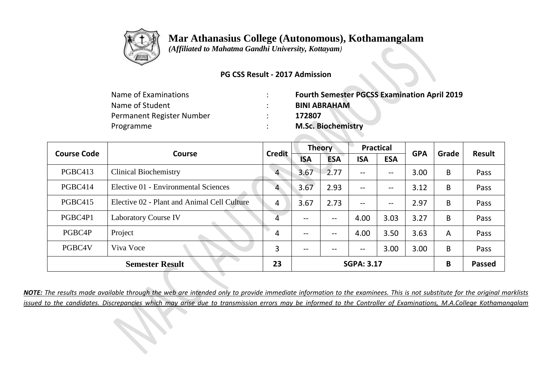

 *(Affiliated to Mahatma Gandhi University, Kottayam)*

#### **PG CSS Result - 2017 Admission**

| <b>Fourth Semester PGCSS Examination April 2019</b> |
|-----------------------------------------------------|
| <b>BINI ABRAHAM</b>                                 |
| 172807                                              |
| <b>M.Sc. Biochemistry</b>                           |
|                                                     |

| <b>Course Code</b><br>Course |                                             | <b>Theory</b><br><b>Credit</b> |                   | <b>Practical</b> |                          | <b>GPA</b> | Grade | <b>Result</b>  |               |
|------------------------------|---------------------------------------------|--------------------------------|-------------------|------------------|--------------------------|------------|-------|----------------|---------------|
|                              |                                             |                                | <b>ISA</b>        | <b>ESA</b>       | <b>ISA</b>               | <b>ESA</b> |       |                |               |
| PGBC413                      | <b>Clinical Biochemistry</b>                | $\overline{4}$                 | 3.67              | 2.77             | $\overline{\phantom{a}}$ | --         | 3.00  | B              | Pass          |
| PGBC414                      | Elective 01 - Environmental Sciences        | 4                              | 3.67              | 2.93             | $\qquad \qquad -$        | --         | 3.12  | B              | Pass          |
| <b>PGBC415</b>               | Elective 02 - Plant and Animal Cell Culture | 4                              | 3.67              | 2.73             | $\qquad \qquad -$        | $-\!$ $-$  | 2.97  | B              | Pass          |
| PGBC4P1                      | <b>Laboratory Course IV</b>                 | 4                              | --                | $- -$            | 4.00                     | 3.03       | 3.27  | B              | Pass          |
| PGBC4P                       | Project                                     | 4                              | $\qquad \qquad -$ | $- -$            | 4.00                     | 3.50       | 3.63  | $\overline{A}$ | Pass          |
| PGBC4V                       | Viva Voce                                   | 3                              | $\qquad \qquad -$ | $- -$            | $- -$                    | 3.00       | 3.00  | B              | Pass          |
|                              | <b>Semester Result</b>                      | 23                             |                   |                  | <b>SGPA: 3.17</b>        |            |       | B              | <b>Passed</b> |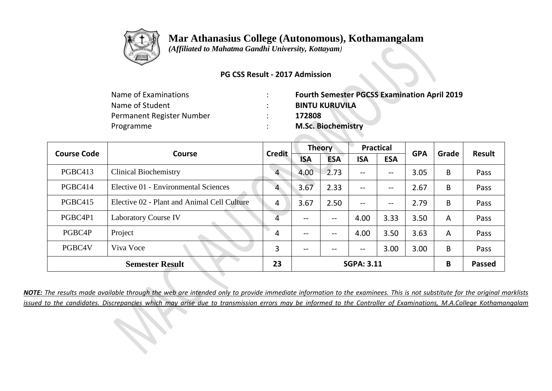

 *(Affiliated to Mahatma Gandhi University, Kottayam)*

#### **PG CSS Result - 2017 Admission**

| <b>Fourth Semester PGCSS Examination April 2019</b> |
|-----------------------------------------------------|
| <b>BINTU KURUVILA</b>                               |
| 172808                                              |
| <b>M.Sc. Biochemistry</b>                           |
|                                                     |

| <b>Course Code</b>     | <b>Course</b>                               | <b>Credit</b>  |                   | <b>Theory</b>     |                          | <b>Practical</b>  | <b>GPA</b> | Grade          | <b>Result</b> |
|------------------------|---------------------------------------------|----------------|-------------------|-------------------|--------------------------|-------------------|------------|----------------|---------------|
|                        |                                             |                | <b>ISA</b>        | <b>ESA</b>        | <b>ISA</b>               | <b>ESA</b>        |            |                |               |
| PGBC413                | <b>Clinical Biochemistry</b>                | $\overline{4}$ | 4.00              | 2.73              | $\qquad \qquad -$        | --                | 3.05       | B              | Pass          |
| PGBC414                | Elective 01 - Environmental Sciences        | 4              | 3.67              | 2.33              | $-$                      | $\qquad \qquad -$ | 2.67       | B              | Pass          |
| PGBC415                | Elective 02 - Plant and Animal Cell Culture | 4              | 3.67              | 2.50              | $\qquad \qquad -$        | $-\!$ $-$         | 2.79       | B              | Pass          |
| PGBC4P1                | <b>Laboratory Course IV</b>                 | 4              | $- -$             | $- -$             | 4.00                     | 3.33              | 3.50       | $\overline{A}$ | Pass          |
| PGBC4P                 | Project                                     | 4              | $\qquad \qquad -$ | $\qquad \qquad -$ | 4.00                     | 3.50              | 3.63       | $\overline{A}$ | Pass          |
| PGBC4V                 | Viva Voce                                   | 3              | $- -$             | $- -$             | $\overline{\phantom{m}}$ | 3.00              | 3.00       | B              | Pass          |
| <b>Semester Result</b> |                                             | 23             |                   |                   | <b>SGPA: 3.11</b>        |                   |            | B              | <b>Passed</b> |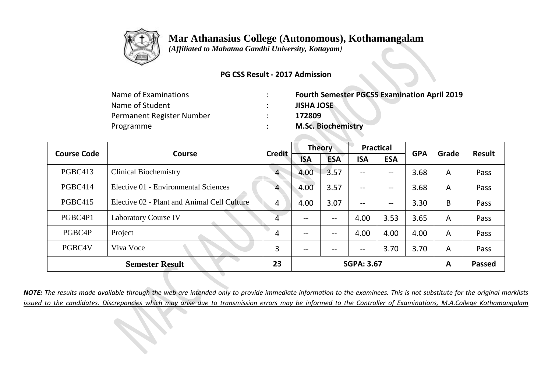

 *(Affiliated to Mahatma Gandhi University, Kottayam)*

#### **PG CSS Result - 2017 Admission**

| <b>Fourth Semester PGCSS Examination April 2019</b> |
|-----------------------------------------------------|
| <b>JISHA JOSE</b>                                   |
| 172809                                              |
| <b>M.Sc. Biochemistry</b>                           |
|                                                     |

|                        | <b>Course Code</b><br><b>Course</b>         | <b>Credit</b>  | <b>Theory</b>     |            | <b>Practical</b>                      |            | <b>GPA</b> | Grade         | <b>Result</b> |
|------------------------|---------------------------------------------|----------------|-------------------|------------|---------------------------------------|------------|------------|---------------|---------------|
|                        |                                             |                | <b>ISA</b>        | <b>ESA</b> | <b>ISA</b>                            | <b>ESA</b> |            |               |               |
| PGBC413                | <b>Clinical Biochemistry</b>                | $\overline{4}$ | 4.00              | 3.57       | $\overline{\phantom{m}}$              | --         | 3.68       | A             | Pass          |
| PGBC414                | Elective 01 - Environmental Sciences        | 4              | 4.00              | 3.57       | $--$                                  | --         | 3.68       | A             | Pass          |
| PGBC415                | Elective 02 - Plant and Animal Cell Culture | 4              | 4.00              | 3.07       | $--$                                  | --         | 3.30       | B             | Pass          |
| PGBC4P1                | <b>Laboratory Course IV</b>                 | 4              | --                | $- -$      | 4.00                                  | 3.53       | 3.65       | A             | Pass          |
| PGBC4P                 | Project                                     | 4              | --                | --         | 4.00                                  | 4.00       | 4.00       | A             | Pass          |
| PGBC4V                 | Viva Voce                                   | 3              | --                | --         | $\hspace{0.05cm}$ – $\hspace{0.05cm}$ | 3.70       | 3.70       | A             | Pass          |
| <b>Semester Result</b> |                                             | 23             | <b>SGPA: 3.67</b> |            |                                       |            | A          | <b>Passed</b> |               |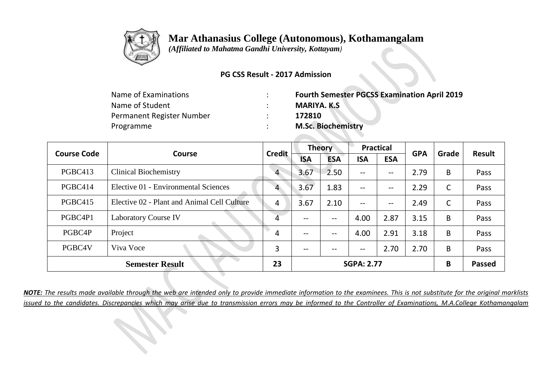

 *(Affiliated to Mahatma Gandhi University, Kottayam)*

#### **PG CSS Result - 2017 Admission**

| <b>Fourth Semester PGCSS Examination April 2019</b> |
|-----------------------------------------------------|
| <b>MARIYA. K.S</b>                                  |
| 172810                                              |
| <b>M.Sc. Biochemistry</b>                           |
|                                                     |

|                        | <b>Course Code</b><br><b>Course</b>         | <b>Credit</b>  | <b>Theory</b>     |            | <b>Practical</b>         |            | <b>GPA</b> | Grade | <b>Result</b> |
|------------------------|---------------------------------------------|----------------|-------------------|------------|--------------------------|------------|------------|-------|---------------|
|                        |                                             |                | <b>ISA</b>        | <b>ESA</b> | <b>ISA</b>               | <b>ESA</b> |            |       |               |
| PGBC413                | <b>Clinical Biochemistry</b>                | $\overline{4}$ | 3.67              | 2.50       | $\overline{\phantom{m}}$ | --         | 2.79       | B     | Pass          |
| PGBC414                | Elective 01 - Environmental Sciences        | 4              | 3.67              | 1.83       | $\qquad \qquad -$        | --         | 2.29       | C     | Pass          |
| PGBC415                | Elective 02 - Plant and Animal Cell Culture | 4              | 3.67              | 2.10       | $--$                     | --         | 2.49       | C     | Pass          |
| PGBC4P1                | <b>Laboratory Course IV</b>                 | 4              | $\qquad \qquad -$ | $- -$      | 4.00                     | 2.87       | 3.15       | B     | Pass          |
| PGBC4P                 | Project                                     | 4              | $\qquad \qquad -$ | $- -$      | 4.00                     | 2.91       | 3.18       | B     | Pass          |
| PGBC4V                 | Viva Voce                                   | 3              | --                | $- -$      | $-\!$ $\!-$              | 2.70       | 2.70       | B     | Pass          |
| <b>Semester Result</b> |                                             | 23             |                   |            | <b>SGPA: 2.77</b>        |            |            | B     | <b>Passed</b> |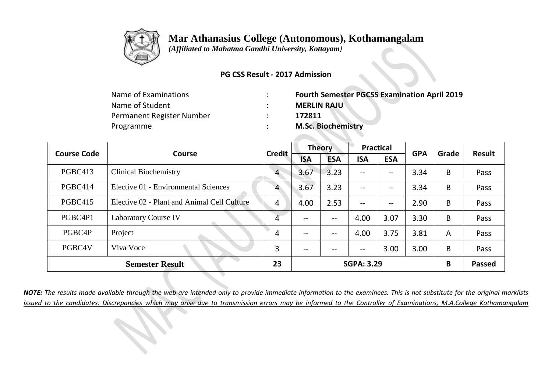

 *(Affiliated to Mahatma Gandhi University, Kottayam)*

#### **PG CSS Result - 2017 Admission**

| <b>Fourth Semester PGCSS Examination April 2019</b> |
|-----------------------------------------------------|
| <b>MERLIN RAJU</b>                                  |
| 172811                                              |
| <b>M.Sc. Biochemistry</b>                           |
|                                                     |

| <b>Course Code</b><br><b>Course</b> |                                             | <b>Credit</b>  | <b>Theory</b> |            | <b>Practical</b>  |                   | <b>GPA</b> | Grade          | <b>Result</b> |
|-------------------------------------|---------------------------------------------|----------------|---------------|------------|-------------------|-------------------|------------|----------------|---------------|
|                                     |                                             |                | <b>ISA</b>    | <b>ESA</b> | <b>ISA</b>        | <b>ESA</b>        |            |                |               |
| PGBC413                             | <b>Clinical Biochemistry</b>                | $\overline{4}$ | 3.67          | 3.23       | $\qquad \qquad -$ | --                | 3.34       | B              | Pass          |
| PGBC414                             | Elective 01 - Environmental Sciences        | 4              | 3.67          | 3.23       | $\qquad \qquad -$ | $\qquad \qquad -$ | 3.34       | B              | Pass          |
| PGBC415                             | Elective 02 - Plant and Animal Cell Culture | 4              | 4.00          | 2.53       | $\qquad \qquad -$ | $-\!$ $-$         | 2.90       | B              | Pass          |
| PGBC4P1                             | <b>Laboratory Course IV</b>                 | 4              | --            | --         | 4.00              | 3.07              | 3.30       | B              | Pass          |
| PGBC4P                              | Project                                     | 4              | $- -$         | $-$        | 4.00              | 3.75              | 3.81       | $\overline{A}$ | Pass          |
| PGBC4V                              | Viva Voce                                   | 3              | $- -$         | $- -$      | $\qquad \qquad -$ | 3.00              | 3.00       | B              | Pass          |
| <b>Semester Result</b>              |                                             |                |               |            | <b>SGPA: 3.29</b> |                   |            | B              | <b>Passed</b> |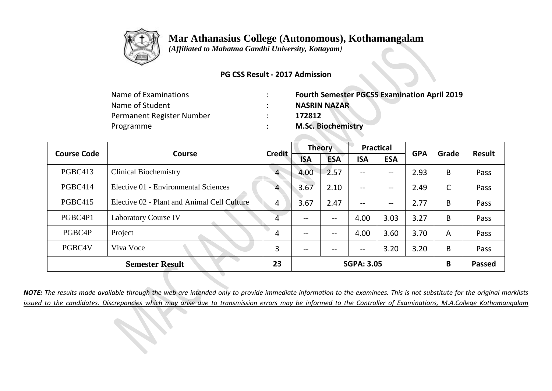

 *(Affiliated to Mahatma Gandhi University, Kottayam)*

#### **PG CSS Result - 2017 Admission**

| <b>Fourth Semester PGCSS Examination April 2019</b> |
|-----------------------------------------------------|
| <b>NASRIN NAZAR</b>                                 |
| 172812                                              |
| <b>M.Sc. Biochemistry</b>                           |
|                                                     |

|                        | <b>Course Code</b><br>Course                | <b>Credit</b>  | Theory            |                   | <b>Practical</b>  |                          | <b>GPA</b> | Grade          | <b>Result</b> |
|------------------------|---------------------------------------------|----------------|-------------------|-------------------|-------------------|--------------------------|------------|----------------|---------------|
|                        |                                             |                | <b>ISA</b>        | <b>ESA</b>        | <b>ISA</b>        | <b>ESA</b>               |            |                |               |
| PGBC413                | <b>Clinical Biochemistry</b>                | $\overline{4}$ | 4.00              | 2.57              | $\qquad \qquad -$ | $- -$                    | 2.93       | B              | Pass          |
| PGBC414                | Elective 01 - Environmental Sciences        | 4              | 3.67              | 2.10              | $\qquad \qquad -$ | $\overline{\phantom{m}}$ | 2.49       | C              | Pass          |
| <b>PGBC415</b>         | Elective 02 - Plant and Animal Cell Culture | 4              | 3.67              | 2.47              | $\qquad \qquad -$ | $\qquad \qquad -$        | 2.77       | B              | Pass          |
| PGBC4P1                | <b>Laboratory Course IV</b>                 | 4              | $\qquad \qquad -$ | $- -$             | 4.00              | 3.03                     | 3.27       | B              | Pass          |
| PGBC4P                 | Project                                     | 4              | $\qquad \qquad -$ | $\qquad \qquad -$ | 4.00              | 3.60                     | 3.70       | $\overline{A}$ | Pass          |
| PGBC4V                 | Viva Voce                                   | 3              | $- -$             | $- -$             | $-\!$ $\!-$       | 3.20                     | 3.20       | B              | Pass          |
| <b>Semester Result</b> |                                             | 23             |                   |                   | <b>SGPA: 3.05</b> |                          |            | B              | <b>Passed</b> |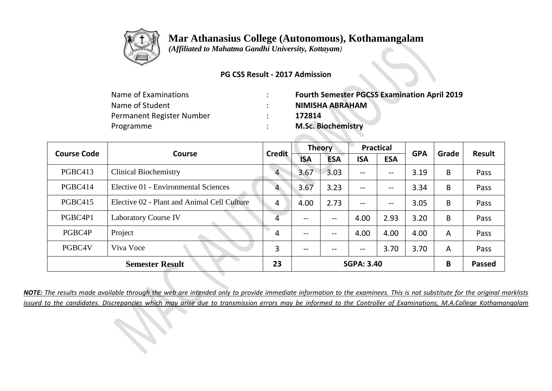

 *(Affiliated to Mahatma Gandhi University, Kottayam)*

#### **PG CSS Result - 2017 Admission**

| <b>Fourth Semester PGCSS Examination April 2019</b> |
|-----------------------------------------------------|
| <b>NIMISHA ABRAHAM</b>                              |
| 172814                                              |
| <b>M.Sc. Biochemistry</b>                           |
|                                                     |

|                        | <b>Course Code</b><br>Course                | <b>Credit</b>  | <b>Theory</b> |                   | <b>Practical</b>         |                   | <b>GPA</b> | Grade | <b>Result</b> |
|------------------------|---------------------------------------------|----------------|---------------|-------------------|--------------------------|-------------------|------------|-------|---------------|
|                        |                                             |                | <b>ISA</b>    | <b>ESA</b>        | <b>ISA</b>               | <b>ESA</b>        |            |       |               |
| PGBC413                | <b>Clinical Biochemistry</b>                | $\overline{4}$ | 3.67          | 3.03              | $-$                      | $\qquad \qquad -$ | 3.19       | B     | Pass          |
| PGBC414                | Elective 01 - Environmental Sciences        | 4              | 3.67          | 3.23              | $\qquad \qquad -$        | $-\!$ $-$         | 3.34       | B     | Pass          |
| PGBC415                | Elective 02 - Plant and Animal Cell Culture | 4              | 4.00          | 2.73              | $\qquad \qquad -$        | $\qquad \qquad -$ | 3.05       | B     | Pass          |
| PGBC4P1                | <b>Laboratory Course IV</b>                 | 4              | --            | --                | 4.00                     | 2.93              | 3.20       | B     | Pass          |
| PGBC4P                 | Project                                     | 4              | $- -$         | $\qquad \qquad -$ | 4.00                     | 4.00              | 4.00       | A     | Pass          |
| PGBC4V                 | Viva Voce                                   | 3              | $- -$         | --                | $\overline{\phantom{m}}$ | 3.70              | 3.70       | A     | Pass          |
| <b>Semester Result</b> |                                             | 23             |               |                   | <b>SGPA: 3.40</b>        |                   |            | B     | <b>Passed</b> |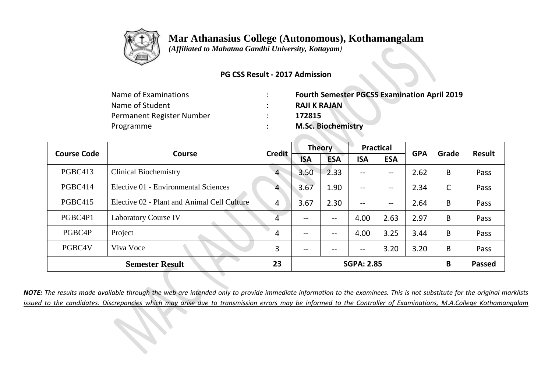

 *(Affiliated to Mahatma Gandhi University, Kottayam)*

#### **PG CSS Result - 2017 Admission**

| Name of Examinations      | <b>Fourth Semester PGCSS Examination April 2019</b> |
|---------------------------|-----------------------------------------------------|
| Name of Student           | <b>RAJI K RAJAN</b>                                 |
| Permanent Register Number | 172815                                              |
| Programme                 | <b>M.Sc. Biochemistry</b>                           |

| <b>Course Code</b>     | <b>Course</b>                               | <b>Credit</b>  | <b>Theory</b>     |            | <b>Practical</b>         |            | <b>GPA</b> | Grade         | <b>Result</b> |
|------------------------|---------------------------------------------|----------------|-------------------|------------|--------------------------|------------|------------|---------------|---------------|
|                        |                                             |                | <b>ISA</b>        | <b>ESA</b> | <b>ISA</b>               | <b>ESA</b> |            |               |               |
| PGBC413                | <b>Clinical Biochemistry</b>                | $\overline{4}$ | 3.50              | 2.33       | $\overline{\phantom{m}}$ | --         | 2.62       | B             | Pass          |
| PGBC414                | Elective 01 - Environmental Sciences        | 4              | 3.67              | 1.90       | $\qquad \qquad -$        | --         | 2.34       | C             | Pass          |
| PGBC415                | Elective 02 - Plant and Animal Cell Culture | 4              | 3.67              | 2.30       | $--$                     | --         | 2.64       | B             | Pass          |
| PGBC4P1                | <b>Laboratory Course IV</b>                 | 4              | $\qquad \qquad -$ | $- -$      | 4.00                     | 2.63       | 2.97       | B             | Pass          |
| PGBC4P                 | Project                                     | 4              | $\qquad \qquad -$ | $- -$      | 4.00                     | 3.25       | 3.44       | B             | Pass          |
| PGBC4V                 | Viva Voce                                   | 3              | $- -$             | $- -$      | $\overline{\phantom{m}}$ | 3.20       | 3.20       | B             | Pass          |
| <b>Semester Result</b> |                                             | 23             | <b>SGPA: 2.85</b> |            |                          |            | B          | <b>Passed</b> |               |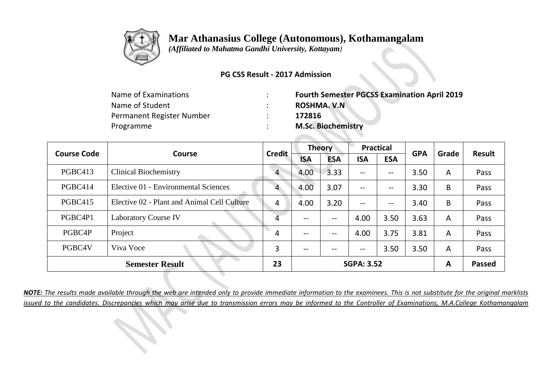

 *(Affiliated to Mahatma Gandhi University, Kottayam)*

#### **PG CSS Result - 2017 Admission**

| <b>Fourth Semester PGCSS Examination April 2019</b> |
|-----------------------------------------------------|
| <b>ROSHMA. V.N.</b>                                 |
| 172816                                              |
| <b>M.Sc. Biochemistry</b>                           |
|                                                     |

| <b>Course Code</b>     | <b>Course</b>                               | <b>Credit</b>  | <b>Theory</b>     |                   | <b>Practical</b>  |                          | <b>GPA</b> | Grade          |               |
|------------------------|---------------------------------------------|----------------|-------------------|-------------------|-------------------|--------------------------|------------|----------------|---------------|
|                        |                                             |                | <b>ISA</b>        | <b>ESA</b>        | <b>ISA</b>        | <b>ESA</b>               |            |                | <b>Result</b> |
| PGBC413                | <b>Clinical Biochemistry</b>                | $\overline{4}$ | 4.00              | 3.33              | $- -$             | --                       | 3.50       | $\overline{A}$ | Pass          |
| PGBC414                | Elective 01 - Environmental Sciences        | 4              | 4.00              | 3.07              | $\qquad \qquad -$ | --                       | 3.30       | B              | Pass          |
| <b>PGBC415</b>         | Elective 02 - Plant and Animal Cell Culture | 4              | 4.00              | 3.20              | $\qquad \qquad -$ | $\overline{\phantom{m}}$ | 3.40       | B              | Pass          |
| PGBC4P1                | <b>Laboratory Course IV</b>                 | 4              | --                | --                | 4.00              | 3.50                     | 3.63       | $\overline{A}$ | Pass          |
| PGBC4P                 | Project                                     | 4              | $\qquad \qquad -$ | $\qquad \qquad -$ | 4.00              | 3.75                     | 3.81       | $\overline{A}$ | Pass          |
| PGBC4V                 | Viva Voce                                   | 3              | $- -$             | $- -$             | $-\!$ $\!-$       | 3.50                     | 3.50       | $\overline{A}$ | Pass          |
| <b>Semester Result</b> |                                             | 23             | <b>SGPA: 3.52</b> |                   |                   |                          | A          | <b>Passed</b>  |               |